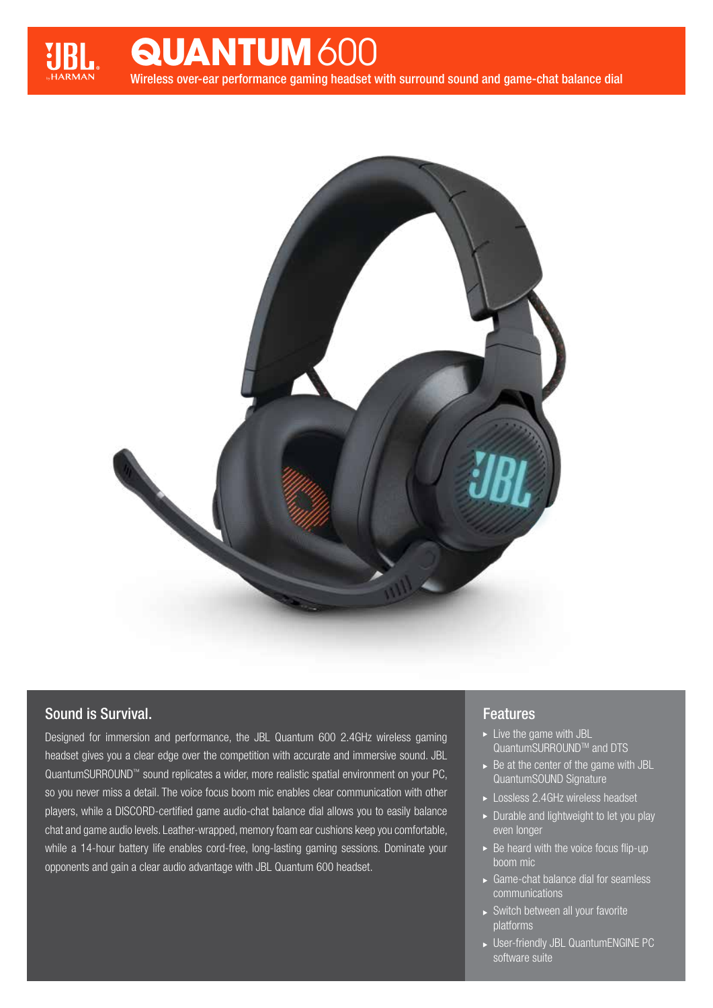

## **QUANTUM** 600

Wireless over-ear performance gaming headset with surround sound and game-chat balance dial



## Sound is Survival.

Designed for immersion and performance, the JBL Quantum 600 2.4GHz wireless gaming headset gives you a clear edge over the competition with accurate and immersive sound. JBL QuantumSURROUND™ sound replicates a wider, more realistic spatial environment on your PC, so you never miss a detail. The voice focus boom mic enables clear communication with other players, while a DISCORD-certified game audio-chat balance dial allows you to easily balance chat and game audio levels. Leather-wrapped, memory foam ear cushions keep you comfortable, while a 14-hour battery life enables cord-free, long-lasting gaming sessions. Dominate your opponents and gain a clear audio advantage with JBL Quantum 600 headset.

## Features

- $\blacktriangleright$  Live the game with JBL QuantumSURROUND<sup>™</sup> and DTS
- $\triangleright$  Be at the center of the game with JBL QuantumSOUND Signature
- Lossless 2.4GHz wireless headset
- Durable and lightweight to let you play even longer
- $\triangleright$  Be heard with the voice focus flip-up boom mic
- Game-chat balance dial for seamless communications
- Switch between all your favorite platforms
- User-friendly JBL QuantumENGINE PC software suite